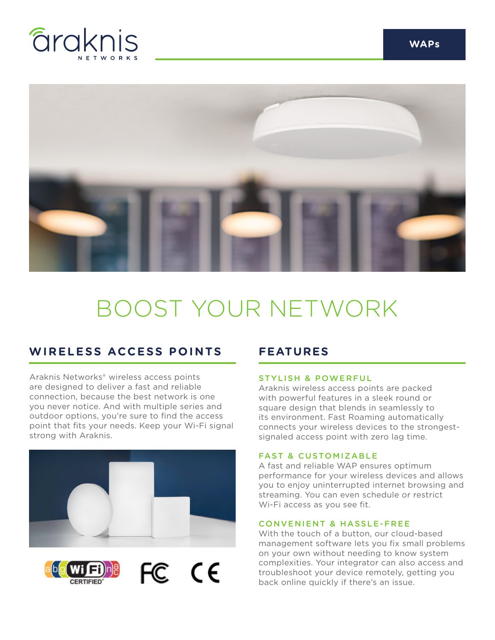



# BOOST YOUR NETWORK

## **WIRELESS ACCESS POINTS FEATURES**

Araknis Networks® wireless access points are designed to deliver a fast and reliable connection, because the best network is one you never notice. And with multiple series and outdoor options, you're sure to find the access point that fits your needs. Keep your Wi-Fi signal strong with Araknis.



FC CE



#### STYLISH & POWERFUL

Araknis wireless access points are packed with powerful features in a sleek round or square design that blends in seamlessly to its environment. Fast Roaming automatically connects your wireless devices to the strongestsignaled access point with zero lag time.

### FAST & CUSTOMIZABLE

A fast and reliable WAP ensures optimum performance for your wireless devices and allows you to enjoy uninterrupted internet browsing and streaming. You can even schedule or restrict Wi-Fi access as you see fit.

#### CONVENIENT & HASSLE-FREE

With the touch of a button, our cloud-based management software lets you fix small problems on your own without needing to know system complexities. Your integrator can also access and troubleshoot your device remotely, getting you back online quickly if there's an issue.